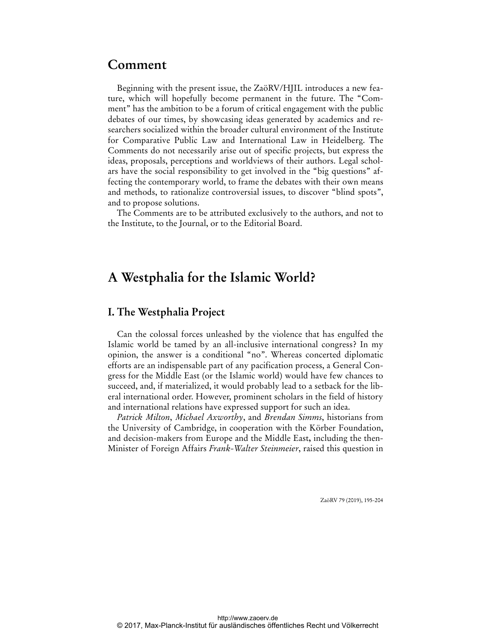# **Comment**

Beginning with the present issue, the ZaöRV/HJIL introduces a new feature, which will hopefully become permanent in the future. The "Comment" has the ambition to be a forum of critical engagement with the public debates of our times, by showcasing ideas generated by academics and researchers socialized within the broader cultural environment of the Institute for Comparative Public Law and International Law in Heidelberg. The Comments do not necessarily arise out of specific projects, but express the ideas, proposals, perceptions and worldviews of their authors. Legal scholars have the social responsibility to get involved in the "big questions" affecting the contemporary world, to frame the debates with their own means and methods, to rationalize controversial issues, to discover "blind spots", and to propose solutions.

The Comments are to be attributed exclusively to the authors, and not to the Institute, to the Journal, or to the Editorial Board.

# **A Westphalia for the Islamic World?**

### **I. The Westphalia Project**

Can the colossal forces unleashed by the violence that has engulfed the Islamic world be tamed by an all-inclusive international congress? In my opinion, the answer is a conditional "no". Whereas concerted diplomatic efforts are an indispensable part of any pacification process, a General Congress for the Middle East (or the Islamic world) would have few chances to succeed, and, if materialized, it would probably lead to a setback for the liberal international order. However, prominent scholars in the field of history and international relations have expressed support for such an idea.

*Patrick Milton*, *Michael Axworthy*, and *Brendan Simms*, historians from the University of Cambridge, in cooperation with the Körber Foundation, and decision-makers from Europe and the Middle East**,** including the then-Minister of Foreign Affairs *Frank-Walter Steinmeier*, raised this question in

ZaöRV 79 (2019), 195-204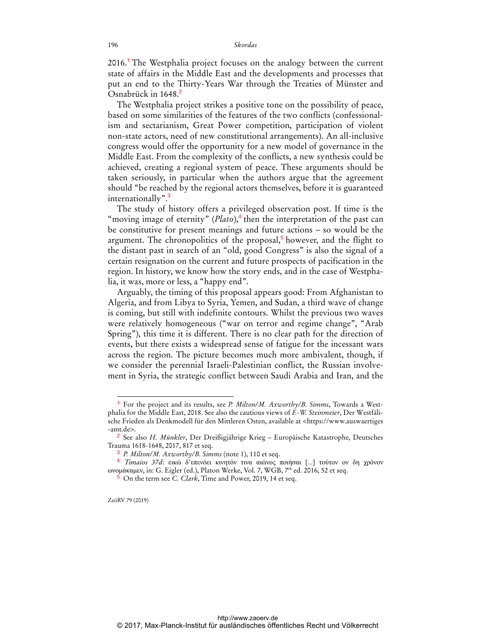2016.<sup>1</sup> The Westphalia project focuses on the analogy between the current state of affairs in the Middle East and the developments and processes that put an end to the Thirty-Years War through the Treaties of Münster and Osnabrück in 1648.<sup>2</sup>

The Westphalia project strikes a positive tone on the possibility of peace, based on some similarities of the features of the two conflicts (confessionalism and sectarianism, Great Power competition, participation of violent non-state actors, need of new constitutional arrangements). An all-inclusive congress would offer the opportunity for a new model of governance in the Middle East. From the complexity of the conflicts, a new synthesis could be achieved, creating a regional system of peace. These arguments should be taken seriously, in particular when the authors argue that the agreement should "be reached by the regional actors themselves, before it is guaranteed internationally".<sup>3</sup>

The study of history offers a privileged observation post. If time is the "moving image of eternity"  $(Plato)$ ,<sup>4</sup> then the interpretation of the past can be constitutive for present meanings and future actions – so would be the argument. The chronopolitics of the proposal,<sup>5</sup> however, and the flight to the distant past in search of an "old, good Congress" is also the signal of a certain resignation on the current and future prospects of pacification in the region. In history, we know how the story ends, and in the case of Westphalia, it was, more or less, a "happy end".

Arguably, the timing of this proposal appears good: From Afghanistan to Algeria, and from Libya to Syria, Yemen, and Sudan, a third wave of change is coming, but still with indefinite contours. Whilst the previous two waves were relatively homogeneous ("war on terror and regime change", "Arab Spring"), this time it is different. There is no clear path for the direction of events, but there exists a widespread sense of fatigue for the incessant wars across the region. The picture becomes much more ambivalent, though, if we consider the perennial Israeli-Palestinian conflict, the Russian involvement in Syria, the strategic conflict between Saudi Arabia and Iran, and the

<sup>1</sup> For the project and its results, see *P. Milton/M. Axworthy/B. Simms*, Towards a Westphalia for the Middle East, 2018. See also the cautious views of *F.-W. Steinmeier*, Der Westfälische Frieden als Denkmodell für den Mittleren Osten, available at <https://www.auswaertiges -amt.de>.

<sup>2</sup> See also *H. Münkler*, Der Dreißigjährige Krieg – Europäische Katastrophe, Deutsches Trauma 1618-1648, 2017, 817 et seq.

<sup>3</sup> *P. Milton/M. Axworthy/B. Simms* (note 1), 110 et seq.

<sup>4</sup> *Timaios 37d*: εικώ δ'επενόει κινητόν τινα αιώνος ποιήσαι [...] τούτον ον δη χρόνον ωνομάκαμεν, in: G. Eigler (ed.), Platon Werke, Vol. 7, WGB, 7th ed. 2016, 52 et seq.

<sup>5</sup> On the term see *C. Clark*, Time and Power, 2019, 14 et seq.

ZaöRV 79 (2019)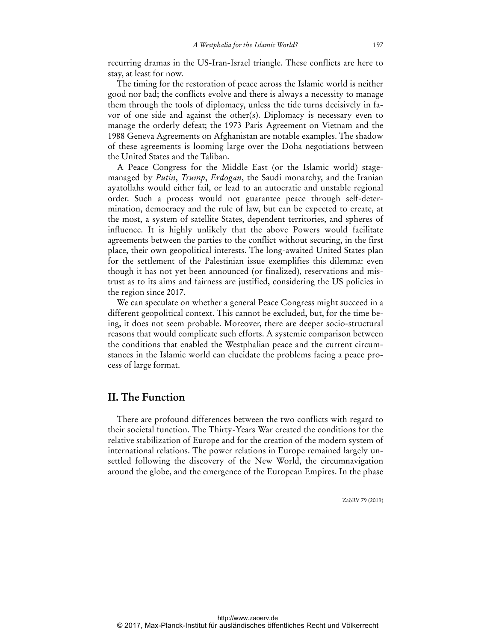recurring dramas in the US-Iran-Israel triangle. These conflicts are here to stay, at least for now.

The timing for the restoration of peace across the Islamic world is neither good nor bad; the conflicts evolve and there is always a necessity to manage them through the tools of diplomacy, unless the tide turns decisively in favor of one side and against the other(s). Diplomacy is necessary even to manage the orderly defeat; the 1973 Paris Agreement on Vietnam and the 1988 Geneva Agreements on Afghanistan are notable examples. The shadow of these agreements is looming large over the Doha negotiations between the United States and the Taliban.

A Peace Congress for the Middle East (or the Islamic world) stagemanaged by *Putin*, *Trump*, *Erdogan*, the Saudi monarchy, and the Iranian ayatollahs would either fail, or lead to an autocratic and unstable regional order. Such a process would not guarantee peace through self-determination, democracy and the rule of law, but can be expected to create, at the most, a system of satellite States, dependent territories, and spheres of influence. It is highly unlikely that the above Powers would facilitate agreements between the parties to the conflict without securing, in the first place, their own geopolitical interests. The long-awaited United States plan for the settlement of the Palestinian issue exemplifies this dilemma: even though it has not yet been announced (or finalized), reservations and mistrust as to its aims and fairness are justified, considering the US policies in the region since 2017.

We can speculate on whether a general Peace Congress might succeed in a different geopolitical context. This cannot be excluded, but, for the time being, it does not seem probable. Moreover, there are deeper socio-structural reasons that would complicate such efforts. A systemic comparison between the conditions that enabled the Westphalian peace and the current circumstances in the Islamic world can elucidate the problems facing a peace process of large format.

# **II. The Function**

There are profound differences between the two conflicts with regard to their societal function. The Thirty-Years War created the conditions for the relative stabilization of Europe and for the creation of the modern system of international relations. The power relations in Europe remained largely unsettled following the discovery of the New World, the circumnavigation around the globe, and the emergence of the European Empires. In the phase

ZaöRV 79 (2019)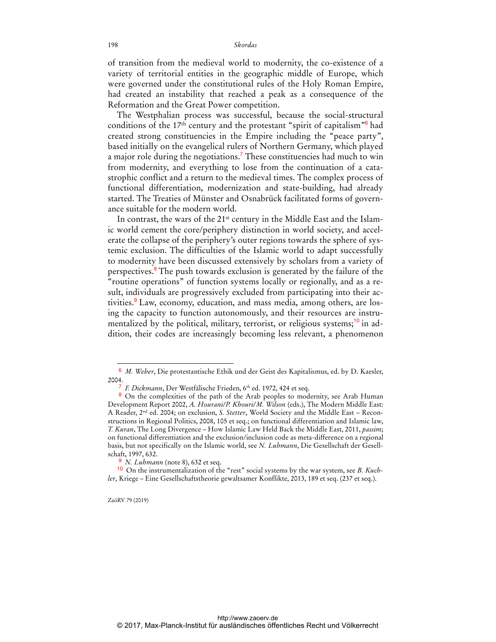of transition from the medieval world to modernity, the co-existence of a variety of territorial entities in the geographic middle of Europe, which were governed under the constitutional rules of the Holy Roman Empire, had created an instability that reached a peak as a consequence of the Reformation and the Great Power competition.

The Westphalian process was successful, because the social-structural conditions of the  $17<sup>th</sup>$  century and the protestant "spirit of capitalism" $\frac{6}{10}$  had created strong constituencies in the Empire including the "peace party", based initially on the evangelical rulers of Northern Germany, which played a major role during the negotiations.<sup>7</sup> These constituencies had much to win from modernity, and everything to lose from the continuation of a catastrophic conflict and a return to the medieval times. The complex process of functional differentiation, modernization and state-building, had already started. The Treaties of Münster and Osnabrück facilitated forms of governance suitable for the modern world.

In contrast, the wars of the 21<sup>st</sup> century in the Middle East and the Islamic world cement the core/periphery distinction in world society, and accelerate the collapse of the periphery's outer regions towards the sphere of systemic exclusion. The difficulties of the Islamic world to adapt successfully to modernity have been discussed extensively by scholars from a variety of perspectives.<sup>8</sup> The push towards exclusion is generated by the failure of the "routine operations" of function systems locally or regionally, and as a result, individuals are progressively excluded from participating into their activities.<sup>9</sup> Law, economy, education, and mass media, among others, are losing the capacity to function autonomously, and their resources are instrumentalized by the political, military, terrorist, or religious systems;<sup>10</sup> in addition, their codes are increasingly becoming less relevant, a phenomenon

<sup>6</sup> *M. Weber*, Die protestantische Ethik und der Geist des Kapitalismus, ed. by D. Kaesler, 2004.

<sup>&</sup>lt;sup>7</sup> F. Dickmann, Der Westfälische Frieden, 6<sup>th</sup> ed. 1972, 424 et seq.

<sup>8</sup> On the complexities of the path of the Arab peoples to modernity, see Arab Human Development Report 2002, *A. Hourani/P. Khouri/M. Wilson* (eds.), The Modern Middle East: A Reader, 2nd ed. 2004; on exclusion, *S. Stetter*, World Society and the Middle East – Reconstructions in Regional Politics, 2008, 105 et seq.; on functional differentiation and Islamic law, *T. Kuran*, The Long Divergence – How Islamic Law Held Back the Middle East, 2011, *passim*; on functional differentiation and the exclusion/inclusion code as meta-difference on a regional basis, but not specifically on the Islamic world, see *N. Luhmann*, Die Gesellschaft der Gesellschaft, 1997, 632.

<sup>9</sup> *N. Luhmann* (note 8), 632 et seq.

<sup>10</sup> On the instrumentalization of the "rest" social systems by the war system, see *B. Kuchler*, Kriege – Eine Gesellschaftstheorie gewaltsamer Konflikte, 2013, 189 et seq. (237 et seq.).

ZaöRV 79 (2019)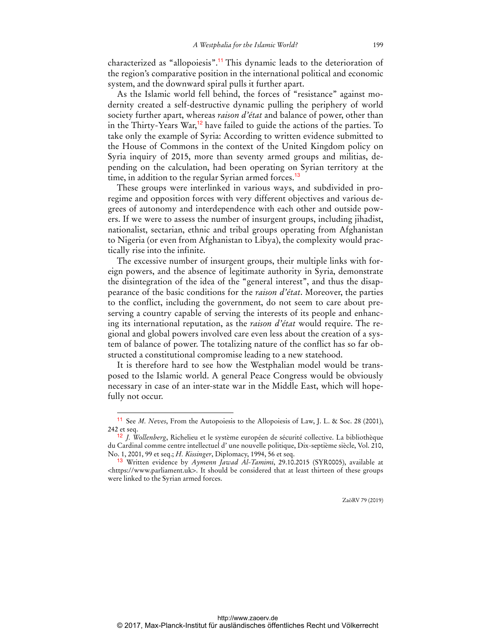characterized as "allopoiesis".<sup>11</sup> This dynamic leads to the deterioration of the region's comparative position in the international political and economic system, and the downward spiral pulls it further apart.

As the Islamic world fell behind, the forces of "resistance" against modernity created a self-destructive dynamic pulling the periphery of world society further apart, whereas *raison d'état* and balance of power, other than in the Thirty-Years War,<sup>12</sup> have failed to guide the actions of the parties. To take only the example of Syria: According to written evidence submitted to the House of Commons in the context of the United Kingdom policy on Syria inquiry of 2015, more than seventy armed groups and militias, depending on the calculation, had been operating on Syrian territory at the time, in addition to the regular Syrian armed forces.<sup>13</sup>

These groups were interlinked in various ways, and subdivided in proregime and opposition forces with very different objectives and various degrees of autonomy and interdependence with each other and outside powers. If we were to assess the number of insurgent groups, including jihadist, nationalist, sectarian, ethnic and tribal groups operating from Afghanistan to Nigeria (or even from Afghanistan to Libya), the complexity would practically rise into the infinite.

The excessive number of insurgent groups, their multiple links with foreign powers, and the absence of legitimate authority in Syria, demonstrate the disintegration of the idea of the "general interest", and thus the disappearance of the basic conditions for the *raison d'état*. Moreover, the parties to the conflict, including the government, do not seem to care about preserving a country capable of serving the interests of its people and enhancing its international reputation, as the *raison d'état* would require. The regional and global powers involved care even less about the creation of a system of balance of power. The totalizing nature of the conflict has so far obstructed a constitutional compromise leading to a new statehood.

It is therefore hard to see how the Westphalian model would be transposed to the Islamic world. A general Peace Congress would be obviously necessary in case of an inter-state war in the Middle East, which will hopefully not occur.

<sup>11</sup> See *M. Neves*, From the Autopoiesis to the Allopoiesis of Law, J. L. & Soc. 28 (2001), 242 et seq.

<sup>12</sup> *J. Wollenberg*, Richelieu et le système européen de sécurité collective. La bibliothèque du Cardinal comme centre intellectuel d' une nouvelle politique, Dix-septième siècle, Vol. 210, No. 1, 2001, 99 et seq.; *H. Kissinger*, Diplomacy, 1994, 56 et seq.

<sup>13</sup> Written evidence by *Aymenn Jawad Al-Tamimi*, 29.10.2015 (SYR0005), available at <https://www.parliament.uk>. It should be considered that at least thirteen of these groups were linked to the Syrian armed forces.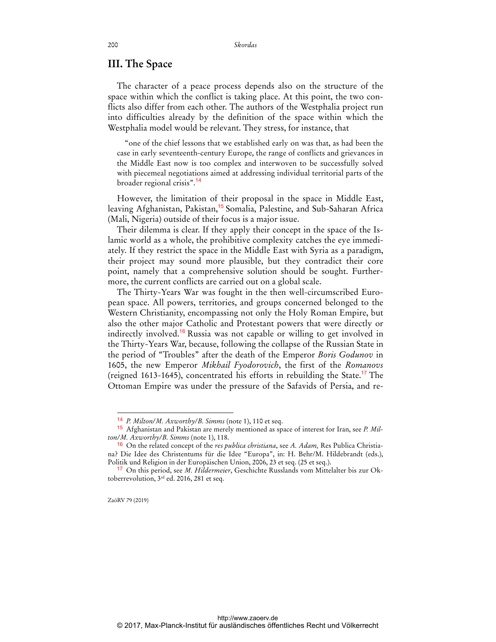#### **III. The Space**

The character of a peace process depends also on the structure of the space within which the conflict is taking place. At this point, the two conflicts also differ from each other. The authors of the Westphalia project run into difficulties already by the definition of the space within which the Westphalia model would be relevant. They stress, for instance, that

"one of the chief lessons that we established early on was that, as had been the case in early seventeenth-century Europe, the range of conflicts and grievances in the Middle East now is too complex and interwoven to be successfully solved with piecemeal negotiations aimed at addressing individual territorial parts of the broader regional crisis".<sup>14</sup>

However, the limitation of their proposal in the space in Middle East, leaving Afghanistan, Pakistan,<sup>15</sup> Somalia, Palestine, and Sub-Saharan Africa (Mali, Nigeria) outside of their focus is a major issue.

Their dilemma is clear. If they apply their concept in the space of the Islamic world as a whole, the prohibitive complexity catches the eye immediately. If they restrict the space in the Middle East with Syria as a paradigm, their project may sound more plausible, but they contradict their core point, namely that a comprehensive solution should be sought. Furthermore, the current conflicts are carried out on a global scale.

The Thirty-Years War was fought in the then well-circumscribed European space. All powers, territories, and groups concerned belonged to the Western Christianity, encompassing not only the Holy Roman Empire, but also the other major Catholic and Protestant powers that were directly or indirectly involved.<sup>16</sup> Russia was not capable or willing to get involved in the Thirty-Years War, because, following the collapse of the Russian State in the period of "Troubles" after the death of the Emperor *Boris Godunov* in 1605, the new Emperor *Mikhail Fyodorovich*, the first of the *Romanovs* (reigned 1613-1645), concentrated his efforts in rebuilding the State.<sup>17</sup> The Ottoman Empire was under the pressure of the Safavids of Persia, and re-

© 2017, Max-Planck-Institut für ausländisches öffentliches Recht und Völkerrecht http://www.zaoerv.de

ZaöRV 79 (2019)

<sup>14</sup> *P. Milton/M. Axworthy/B. Simms* (note 1), 110 et seq.

<sup>15</sup> Afghanistan and Pakistan are merely mentioned as space of interest for Iran, see *P. Milton/M. Axworthy/B. Simms* (note 1), 118.

<sup>16</sup> On the related concept of the *res publica christiana*, see *A. Adam,* Res Publica Christiana? Die Idee des Christentums für die Idee "Europa", in: H. Behr/M. Hildebrandt (eds.), Politik und Religion in der Europäischen Union, 2006, 23 et seq. (25 et seq.).

<sup>17</sup> On this period, see *M. Hildermeier*, Geschichte Russlands vom Mittelalter bis zur Oktoberrevolution, 3<sup>rd</sup> ed. 2016, 281 et seq.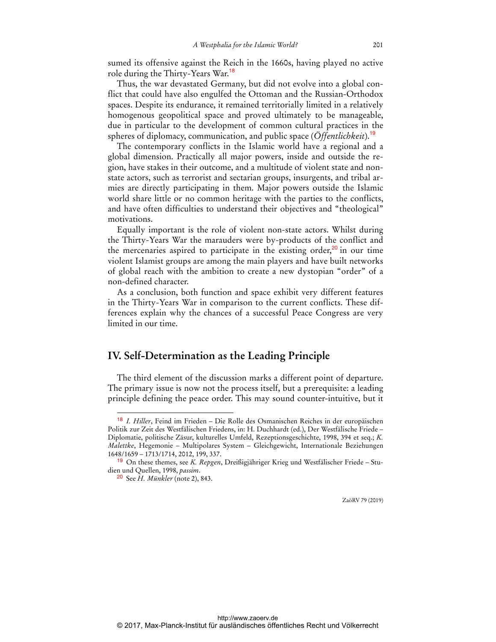sumed its offensive against the Reich in the 1660s, having played no active role during the Thirty-Years War.<sup>18</sup>

Thus, the war devastated Germany, but did not evolve into a global conflict that could have also engulfed the Ottoman and the Russian-Orthodox spaces. Despite its endurance, it remained territorially limited in a relatively homogenous geopolitical space and proved ultimately to be manageable, due in particular to the development of common cultural practices in the spheres of diplomacy, communication, and public space (*Öffentlichkeit*).<sup>19</sup>

The contemporary conflicts in the Islamic world have a regional and a global dimension. Practically all major powers, inside and outside the region, have stakes in their outcome, and a multitude of violent state and nonstate actors, such as terrorist and sectarian groups, insurgents, and tribal armies are directly participating in them. Major powers outside the Islamic world share little or no common heritage with the parties to the conflicts, and have often difficulties to understand their objectives and "theological" motivations.

Equally important is the role of violent non-state actors. Whilst during the Thirty-Years War the marauders were by-products of the conflict and the mercenaries aspired to participate in the existing order, $20$  in our time violent Islamist groups are among the main players and have built networks of global reach with the ambition to create a new dystopian "order" of a non-defined character.

As a conclusion, both function and space exhibit very different features in the Thirty-Years War in comparison to the current conflicts. These differences explain why the chances of a successful Peace Congress are very limited in our time.

### **IV. Self-Determination as the Leading Principle**

The third element of the discussion marks a different point of departure. The primary issue is now not the process itself, but a prerequisite: a leading principle defining the peace order. This may sound counter-intuitive, but it

 $\overline{a}$ 

ZaöRV 79 (2019)

<sup>18</sup> *I. Hiller*, Feind im Frieden – Die Rolle des Osmanischen Reiches in der europäischen Politik zur Zeit des Westfälischen Friedens, in: H. Duchhardt (ed.), Der Westfälische Friede – Diplomatie, politische Zäsur, kulturelles Umfeld, Rezeptionsgeschichte, 1998, 394 et seq.; *K. Malettke*, Hegemonie – Multipolares System – Gleichgewicht, Internationale Beziehungen 1648/1659 – 1713/1714, 2012, 199, 337.

<sup>19</sup> On these themes, see *K. Repgen*, Dreißigjähriger Krieg und Westfälischer Friede – Studien und Quellen, 1998, *passim*.

<sup>20</sup> See *H. Münkler* (note 2), 843.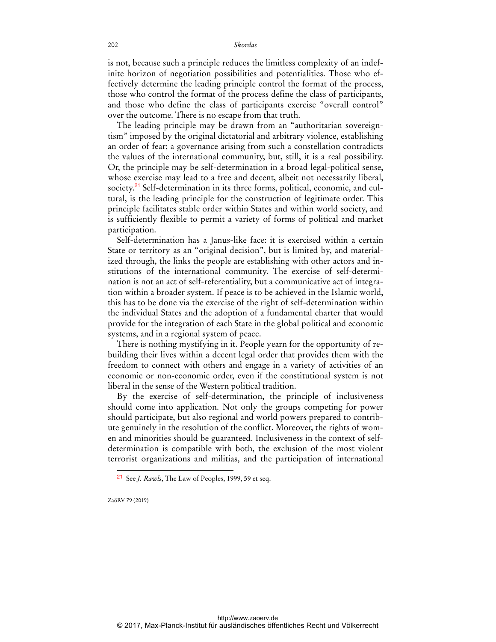is not, because such a principle reduces the limitless complexity of an indefinite horizon of negotiation possibilities and potentialities. Those who effectively determine the leading principle control the format of the process, those who control the format of the process define the class of participants, and those who define the class of participants exercise "overall control" over the outcome. There is no escape from that truth.

The leading principle may be drawn from an "authoritarian sovereigntism" imposed by the original dictatorial and arbitrary violence, establishing an order of fear; a governance arising from such a constellation contradicts the values of the international community, but, still, it is a real possibility. Or, the principle may be self-determination in a broad legal-political sense, whose exercise may lead to a free and decent, albeit not necessarily liberal, society.<sup>21</sup> Self-determination in its three forms, political, economic, and cultural, is the leading principle for the construction of legitimate order. This principle facilitates stable order within States and within world society, and is sufficiently flexible to permit a variety of forms of political and market participation.

Self-determination has a Janus-like face: it is exercised within a certain State or territory as an "original decision", but is limited by, and materialized through, the links the people are establishing with other actors and institutions of the international community. The exercise of self-determination is not an act of self-referentiality, but a communicative act of integration within a broader system. If peace is to be achieved in the Islamic world, this has to be done via the exercise of the right of self-determination within the individual States and the adoption of a fundamental charter that would provide for the integration of each State in the global political and economic systems, and in a regional system of peace.

There is nothing mystifying in it. People yearn for the opportunity of rebuilding their lives within a decent legal order that provides them with the freedom to connect with others and engage in a variety of activities of an economic or non-economic order, even if the constitutional system is not liberal in the sense of the Western political tradition.

By the exercise of self-determination, the principle of inclusiveness should come into application. Not only the groups competing for power should participate, but also regional and world powers prepared to contribute genuinely in the resolution of the conflict. Moreover, the rights of women and minorities should be guaranteed. Inclusiveness in the context of selfdetermination is compatible with both, the exclusion of the most violent terrorist organizations and militias, and the participation of international

ZaöRV 79 (2019)

 $\ddot{ }$ 

<sup>21</sup> See *J. Rawls*, The Law of Peoples, 1999, 59 et seq.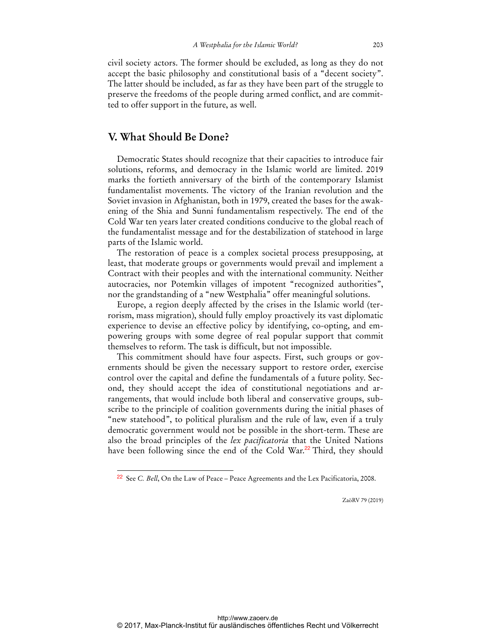civil society actors. The former should be excluded, as long as they do not accept the basic philosophy and constitutional basis of a "decent society". The latter should be included, as far as they have been part of the struggle to preserve the freedoms of the people during armed conflict, and are committed to offer support in the future, as well.

# **V. What Should Be Done?**

 $\ddot{ }$ 

Democratic States should recognize that their capacities to introduce fair solutions, reforms, and democracy in the Islamic world are limited. 2019 marks the fortieth anniversary of the birth of the contemporary Islamist fundamentalist movements. The victory of the Iranian revolution and the Soviet invasion in Afghanistan, both in 1979, created the bases for the awakening of the Shia and Sunni fundamentalism respectively. The end of the Cold War ten years later created conditions conducive to the global reach of the fundamentalist message and for the destabilization of statehood in large parts of the Islamic world.

The restoration of peace is a complex societal process presupposing, at least, that moderate groups or governments would prevail and implement a Contract with their peoples and with the international community. Neither autocracies, nor Potemkin villages of impotent "recognized authorities", nor the grandstanding of a "new Westphalia" offer meaningful solutions.

Europe, a region deeply affected by the crises in the Islamic world (terrorism, mass migration), should fully employ proactively its vast diplomatic experience to devise an effective policy by identifying, co-opting, and empowering groups with some degree of real popular support that commit themselves to reform. The task is difficult, but not impossible.

This commitment should have four aspects. First, such groups or governments should be given the necessary support to restore order, exercise control over the capital and define the fundamentals of a future polity. Second, they should accept the idea of constitutional negotiations and arrangements, that would include both liberal and conservative groups, subscribe to the principle of coalition governments during the initial phases of "new statehood", to political pluralism and the rule of law, even if a truly democratic government would not be possible in the short-term. These are also the broad principles of the *lex pacificatoria* that the United Nations have been following since the end of the Cold War.<sup>22</sup> Third, they should

ZaöRV 79 (2019)

<sup>22</sup> See *C. Bell*, On the Law of Peace – Peace Agreements and the Lex Pacificatoria, 2008.